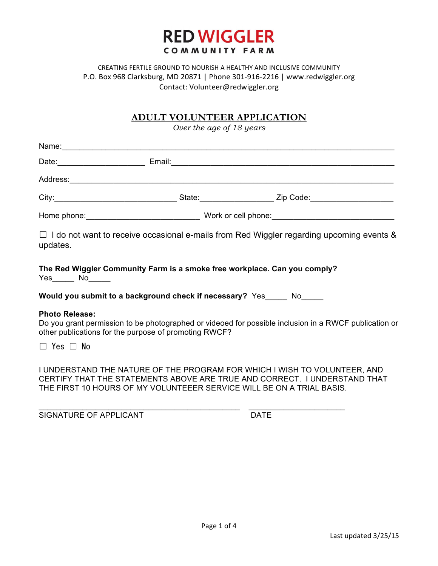

#### CREATING FERTILE GROUND TO NOURISH A HEALTHY AND INCLUSIVE COMMUNITY P.O. Box 968 Clarksburg, MD 20871 | Phone 301-916-2216 | www.redwiggler.org Contact: Volunteer@redwiggler.org

### **ADULT VOLUNTEER APPLICATION**

*Over the age of 18 years*

| updates.              |                                                                                                 | $\Box$ I do not want to receive occasional e-mails from Red Wiggler regarding upcoming events &                                                        |  |  |
|-----------------------|-------------------------------------------------------------------------------------------------|--------------------------------------------------------------------------------------------------------------------------------------------------------|--|--|
|                       | The Red Wiggler Community Farm is a smoke free workplace. Can you comply?                       |                                                                                                                                                        |  |  |
|                       | Would you submit to a background check if necessary? Yes Now Now Now Now Now Now Now Now Now No |                                                                                                                                                        |  |  |
| <b>Photo Release:</b> | other publications for the purpose of promoting RWCF?                                           | Do you grant permission to be photographed or videoed for possible inclusion in a RWCF publication or                                                  |  |  |
| $\Box$ Yes $\Box$ No  |                                                                                                 |                                                                                                                                                        |  |  |
|                       |                                                                                                 | I UNDERSTAND THE NATURE OF THE PROGRAM FOR WHICH I WISH TO VOLUNTEER, AND<br>CERTIFY THAT THE STATEMENTS ABOVE ARE TRUE AND CORRECT. I UNDERSTAND THAT |  |  |

THE FIRST 10 HOURS OF MY VOLUNTEEER SERVICE WILL BE ON A TRIAL BASIS.

\_\_\_\_\_\_\_\_\_\_\_\_\_\_\_\_\_\_\_\_\_\_\_\_\_\_\_\_\_\_\_\_\_\_\_\_\_\_\_\_\_\_\_\_\_\_ \_\_\_\_\_\_\_\_\_\_\_\_\_\_\_\_\_\_\_\_\_\_

SIGNATURE OF APPLICANT DATE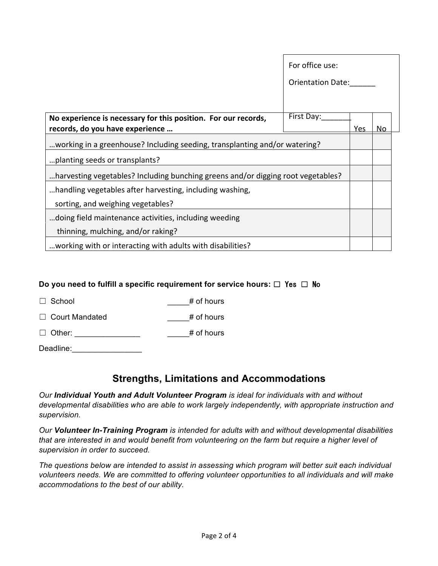|                                                                                  | For office use:          |            |    |
|----------------------------------------------------------------------------------|--------------------------|------------|----|
|                                                                                  | <b>Orientation Date:</b> |            |    |
|                                                                                  |                          |            |    |
| No experience is necessary for this position. For our records,                   | First Day:               |            |    |
| records, do you have experience                                                  |                          | <u>Yes</u> | No |
| working in a greenhouse? Including seeding, transplanting and/or watering?       |                          |            |    |
| planting seeds or transplants?                                                   |                          |            |    |
| harvesting vegetables? Including bunching greens and/or digging root vegetables? |                          |            |    |
| handling vegetables after harvesting, including washing,                         |                          |            |    |
| sorting, and weighing vegetables?                                                |                          |            |    |
| doing field maintenance activities, including weeding                            |                          |            |    |
| thinning, mulching, and/or raking?                                               |                          |            |    |
| working with or interacting with adults with disabilities?                       |                          |            |    |

### **Do you need to fulfill a specific requirement for service hours:** ☐ Yes ☐ No

| $\Box$ School | # of hours |
|---------------|------------|
|               |            |

□ Court Mandated # of hours

☐ Other: \_\_\_\_\_\_\_\_\_\_\_\_\_\_\_ \_\_\_\_\_# of hours

Deadline:\_\_\_\_\_\_\_\_\_\_\_\_\_\_\_\_

## **Strengths, Limitations and Accommodations**

*Our Individual Youth and Adult Volunteer Program is ideal for individuals with and without developmental disabilities who are able to work largely independently, with appropriate instruction and supervision.* 

*Our Volunteer In-Training Program is intended for adults with and without developmental disabilities that are interested in and would benefit from volunteering on the farm but require a higher level of supervision in order to succeed.* 

*The questions below are intended to assist in assessing which program will better suit each individual volunteers needs. We are committed to offering volunteer opportunities to all individuals and will make accommodations to the best of our ability.*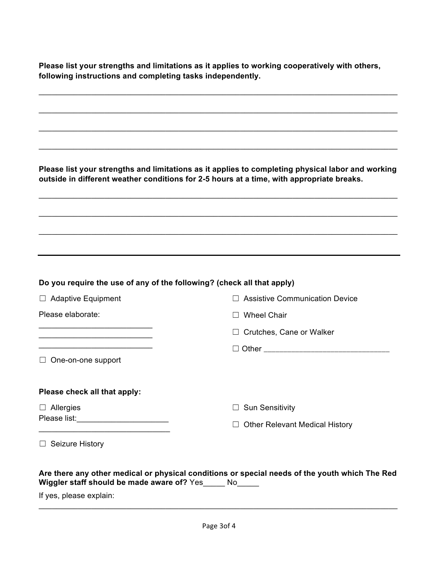**Please list your strengths and limitations as it applies to working cooperatively with others, following instructions and completing tasks independently.** 

\_\_\_\_\_\_\_\_\_\_\_\_\_\_\_\_\_\_\_\_\_\_\_\_\_\_\_\_\_\_\_\_\_\_\_\_\_\_\_\_\_\_\_\_\_\_\_\_\_\_\_\_\_\_\_\_\_\_\_\_\_\_\_\_\_\_\_\_\_\_\_\_\_\_\_\_\_\_\_\_\_\_

\_\_\_\_\_\_\_\_\_\_\_\_\_\_\_\_\_\_\_\_\_\_\_\_\_\_\_\_\_\_\_\_\_\_\_\_\_\_\_\_\_\_\_\_\_\_\_\_\_\_\_\_\_\_\_\_\_\_\_\_\_\_\_\_\_\_\_\_\_\_\_\_\_\_\_\_\_\_\_\_\_\_

\_\_\_\_\_\_\_\_\_\_\_\_\_\_\_\_\_\_\_\_\_\_\_\_\_\_\_\_\_\_\_\_\_\_\_\_\_\_\_\_\_\_\_\_\_\_\_\_\_\_\_\_\_\_\_\_\_\_\_\_\_\_\_\_\_\_\_\_\_\_\_\_\_\_\_\_\_\_\_\_\_\_

\_\_\_\_\_\_\_\_\_\_\_\_\_\_\_\_\_\_\_\_\_\_\_\_\_\_\_\_\_\_\_\_\_\_\_\_\_\_\_\_\_\_\_\_\_\_\_\_\_\_\_\_\_\_\_\_\_\_\_\_\_\_\_\_\_\_\_\_\_\_\_\_\_\_\_\_\_\_\_\_\_\_

**Please list your strengths and limitations as it applies to completing physical labor and working outside in different weather conditions for 2-5 hours at a time, with appropriate breaks.** 

\_\_\_\_\_\_\_\_\_\_\_\_\_\_\_\_\_\_\_\_\_\_\_\_\_\_\_\_\_\_\_\_\_\_\_\_\_\_\_\_\_\_\_\_\_\_\_\_\_\_\_\_\_\_\_\_\_\_\_\_\_\_\_\_\_\_\_\_\_\_\_\_\_\_\_\_\_\_\_\_\_\_

\_\_\_\_\_\_\_\_\_\_\_\_\_\_\_\_\_\_\_\_\_\_\_\_\_\_\_\_\_\_\_\_\_\_\_\_\_\_\_\_\_\_\_\_\_\_\_\_\_\_\_\_\_\_\_\_\_\_\_\_\_\_\_\_\_\_\_\_\_\_\_\_\_\_\_\_\_\_\_\_\_\_

\_\_\_\_\_\_\_\_\_\_\_\_\_\_\_\_\_\_\_\_\_\_\_\_\_\_\_\_\_\_\_\_\_\_\_\_\_\_\_\_\_\_\_\_\_\_\_\_\_\_\_\_\_\_\_\_\_\_\_\_\_\_\_\_\_\_\_\_\_\_\_\_\_\_\_\_\_\_\_\_\_\_

#### **Do you require the use of any of the following? (check all that apply)**

| $\Box$ Adaptive Equipment    | <b>Assistive Communication Device</b><br>$\Box$ |
|------------------------------|-------------------------------------------------|
| Please elaborate:            | <b>Wheel Chair</b><br>$\perp$                   |
|                              | Crutches, Cane or Walker<br>⊔                   |
|                              |                                                 |
| $\Box$ One-on-one support    |                                                 |
|                              |                                                 |
| Please check all that apply: |                                                 |
| $\Box$ Allergies             | <b>Sun Sensitivity</b><br>$\Box$                |
| Please list:                 | <b>Other Relevant Medical History</b><br>$\Box$ |
| $\Box$ Seizure History       |                                                 |

#### **Are there any other medical or physical conditions or special needs of the youth which The Red Wiggler staff should be made aware of?** Yes\_\_\_\_\_ No\_\_\_\_\_

\_\_\_\_\_\_\_\_\_\_\_\_\_\_\_\_\_\_\_\_\_\_\_\_\_\_\_\_\_\_\_\_\_\_\_\_\_\_\_\_\_\_\_\_\_\_\_\_\_\_\_\_\_\_\_\_\_\_\_\_\_\_\_\_\_\_\_\_\_\_\_\_\_\_\_\_\_\_\_\_\_\_

If yes, please explain: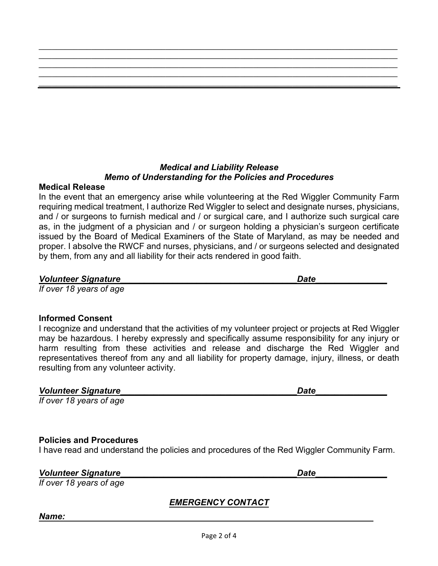### *Medical and Liability Release Memo of Understanding for the Policies and Procedures*

\_\_\_\_\_\_\_\_\_\_\_\_\_\_\_\_\_\_\_\_\_\_\_\_\_\_\_\_\_\_\_\_\_\_\_\_\_\_\_\_\_\_\_\_\_\_\_\_\_\_\_\_\_\_\_\_\_\_\_\_\_\_\_\_\_\_\_\_\_\_\_\_\_\_\_\_\_\_\_\_\_\_ \_\_\_\_\_\_\_\_\_\_\_\_\_\_\_\_\_\_\_\_\_\_\_\_\_\_\_\_\_\_\_\_\_\_\_\_\_\_\_\_\_\_\_\_\_\_\_\_\_\_\_\_\_\_\_\_\_\_\_\_\_\_\_\_\_\_\_\_\_\_\_\_\_\_\_\_\_\_\_\_\_\_ \_\_\_\_\_\_\_\_\_\_\_\_\_\_\_\_\_\_\_\_\_\_\_\_\_\_\_\_\_\_\_\_\_\_\_\_\_\_\_\_\_\_\_\_\_\_\_\_\_\_\_\_\_\_\_\_\_\_\_\_\_\_\_\_\_\_\_\_\_\_\_\_\_\_\_\_\_\_\_\_\_\_ \_\_\_\_\_\_\_\_\_\_\_\_\_\_\_\_\_\_\_\_\_\_\_\_\_\_\_\_\_\_\_\_\_\_\_\_\_\_\_\_\_\_\_\_\_\_\_\_\_\_\_\_\_\_\_\_\_\_\_\_\_\_\_\_\_\_\_\_\_\_\_\_\_\_\_\_\_\_\_\_\_\_ \_\_\_\_\_\_\_\_\_\_\_\_\_\_\_\_\_\_\_\_\_\_\_\_\_\_\_\_\_\_\_\_\_\_\_\_\_\_\_\_\_\_\_\_\_\_\_\_\_\_\_\_\_\_\_\_\_\_\_\_\_\_\_\_\_\_\_\_\_\_\_\_\_\_\_\_\_\_\_\_\_\_

### **Medical Release**

In the event that an emergency arise while volunteering at the Red Wiggler Community Farm requiring medical treatment, I authorize Red Wiggler to select and designate nurses, physicians, and / or surgeons to furnish medical and / or surgical care, and I authorize such surgical care as, in the judgment of a physician and / or surgeon holding a physician's surgeon certificate issued by the Board of Medical Examiners of the State of Maryland, as may be needed and proper. I absolve the RWCF and nurses, physicians, and / or surgeons selected and designated by them, from any and all liability for their acts rendered in good faith.

## *Volunteer Signature\_\_\_\_\_\_\_\_\_\_\_\_\_\_\_\_\_\_\_\_\_\_\_\_\_\_\_\_\_\_\_\_\_\_\_\_\_Date\_\_\_\_\_\_\_\_\_\_\_\_\_\_\_*

*If over 18 years of age*

## **Informed Consent**

I recognize and understand that the activities of my volunteer project or projects at Red Wiggler may be hazardous. I hereby expressly and specifically assume responsibility for any injury or harm resulting from these activities and release and discharge the Red Wiggler and representatives thereof from any and all liability for property damage, injury, illness, or death resulting from any volunteer activity.

# *Volunteer Signature\_\_\_\_\_\_\_\_\_\_\_\_\_\_\_\_\_\_\_\_\_\_\_\_\_\_\_\_\_\_\_\_\_\_\_\_\_Date\_\_\_\_\_\_\_\_\_\_\_\_\_\_\_*

*If over 18 years of age*

# **Policies and Procedures**

I have read and understand the policies and procedures of the Red Wiggler Community Farm.

# *Volunteer Signature\_\_\_\_\_\_\_\_\_\_\_\_\_\_\_\_\_\_\_\_\_\_\_\_\_\_\_\_\_\_\_\_\_\_\_\_\_Date\_\_\_\_\_\_\_\_\_\_\_\_\_\_\_*

*If over 18 years of age*

# *EMERGENCY CONTACT*

*Name:*